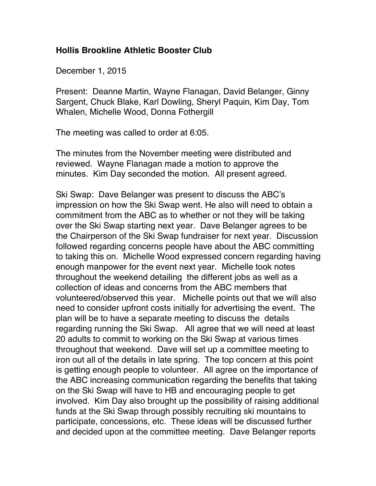## **Hollis Brookline Athletic Booster Club**

December 1, 2015

Present: Deanne Martin, Wayne Flanagan, David Belanger, Ginny Sargent, Chuck Blake, Karl Dowling, Sheryl Paquin, Kim Day, Tom Whalen, Michelle Wood, Donna Fothergill

The meeting was called to order at 6:05.

The minutes from the November meeting were distributed and reviewed. Wayne Flanagan made a motion to approve the minutes. Kim Day seconded the motion. All present agreed.

Ski Swap: Dave Belanger was present to discuss the ABC's impression on how the Ski Swap went. He also will need to obtain a commitment from the ABC as to whether or not they will be taking over the Ski Swap starting next year. Dave Belanger agrees to be the Chairperson of the Ski Swap fundraiser for next year. Discussion followed regarding concerns people have about the ABC committing to taking this on. Michelle Wood expressed concern regarding having enough manpower for the event next year. Michelle took notes throughout the weekend detailing the different jobs as well as a collection of ideas and concerns from the ABC members that volunteered/observed this year. Michelle points out that we will also need to consider upfront costs initially for advertising the event. The plan will be to have a separate meeting to discuss the details regarding running the Ski Swap. All agree that we will need at least 20 adults to commit to working on the Ski Swap at various times throughout that weekend. Dave will set up a committee meeting to iron out all of the details in late spring. The top concern at this point is getting enough people to volunteer. All agree on the importance of the ABC increasing communication regarding the benefits that taking on the Ski Swap will have to HB and encouraging people to get involved. Kim Day also brought up the possibility of raising additional funds at the Ski Swap through possibly recruiting ski mountains to participate, concessions, etc. These ideas will be discussed further and decided upon at the committee meeting. Dave Belanger reports